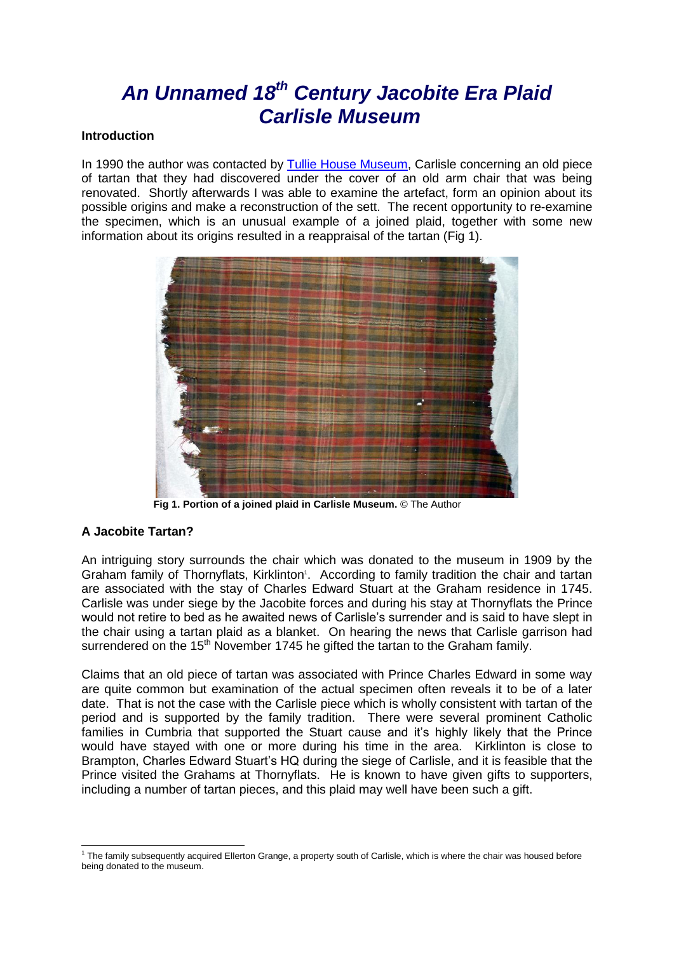# *An Unnamed 18th Century Jacobite Era Plaid Carlisle Museum*

### **Introduction**

In 1990 the author was contacted by [Tullie House Museum,](http://www.tulliehouse.co.uk/) Carlisle concerning an old piece of tartan that they had discovered under the cover of an old arm chair that was being renovated. Shortly afterwards I was able to examine the artefact, form an opinion about its possible origins and make a reconstruction of the sett. The recent opportunity to re-examine the specimen, which is an unusual example of a joined plaid, together with some new information about its origins resulted in a reappraisal of the tartan (Fig 1).



 **Fig 1. Portion of a joined plaid in Carlisle Museum.** © The Author

# **A Jacobite Tartan?**

An intriguing story surrounds the chair which was donated to the museum in 1909 by the Graham family of Thornyflats, Kirklinton<sup>1</sup>. According to family tradition the chair and tartan are associated with the stay of Charles Edward Stuart at the Graham residence in 1745. Carlisle was under siege by the Jacobite forces and during his stay at Thornyflats the Prince would not retire to bed as he awaited news of Carlisle's surrender and is said to have slept in the chair using a tartan plaid as a blanket. On hearing the news that Carlisle garrison had surrendered on the 15<sup>th</sup> November 1745 he gifted the tartan to the Graham family.

Claims that an old piece of tartan was associated with Prince Charles Edward in some way are quite common but examination of the actual specimen often reveals it to be of a later date. That is not the case with the Carlisle piece which is wholly consistent with tartan of the period and is supported by the family tradition. There were several prominent Catholic families in Cumbria that supported the Stuart cause and it's highly likely that the Prince would have stayed with one or more during his time in the area. Kirklinton is close to Brampton, Charles Edward Stuart's HQ during the siege of Carlisle, and it is feasible that the Prince visited the Grahams at Thornyflats. He is known to have given gifts to supporters, including a number of tartan pieces, and this plaid may well have been such a gift.

<sup>-</sup><sup>1</sup> The family subsequently acquired Ellerton Grange, a property south of Carlisle, which is where the chair was housed before being donated to the museum.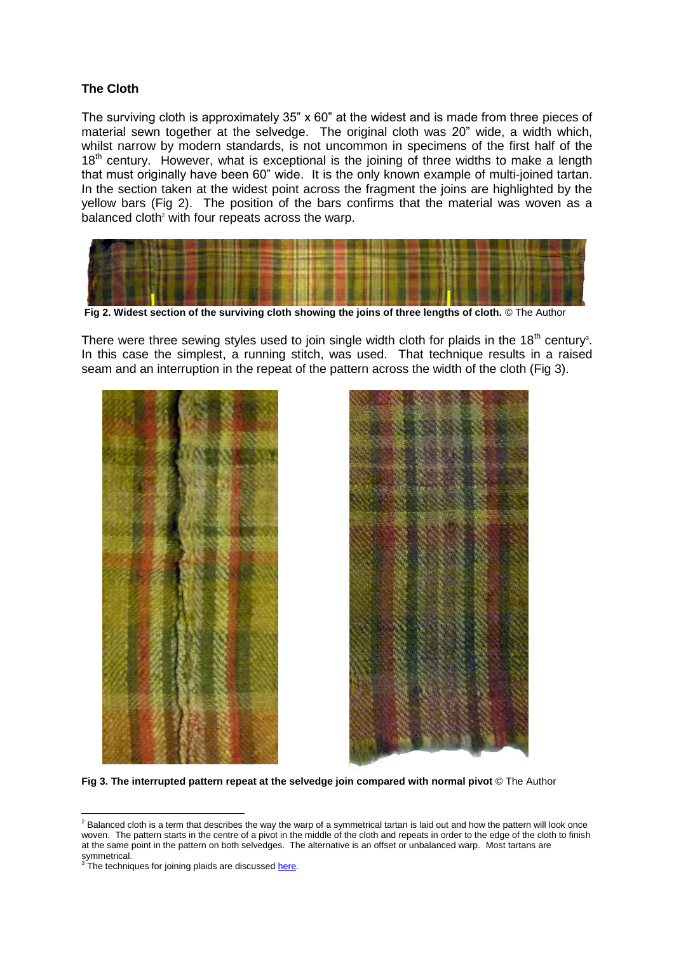## **The Cloth**

The surviving cloth is approximately  $35" \times 60"$  at the widest and is made from three pieces of material sewn together at the selvedge. The original cloth was 20" wide, a width which, whilst narrow by modern standards, is not uncommon in specimens of the first half of the  $18<sup>th</sup>$  century. However, what is exceptional is the joining of three widths to make a length that must originally have been 60" wide. It is the only known example of multi-joined tartan. In the section taken at the widest point across the fragment the joins are highlighted by the yellow bars (Fig 2). The position of the bars confirms that the material was woven as a balanced cloth<sup>2</sup> with four repeats across the warp.



**Fig 2. Widest section of the surviving cloth showing the joins of three lengths of cloth.** © The Author

There were three sewing styles used to join single width cloth for plaids in the  $18<sup>th</sup>$  century<sup>3</sup>. In this case the simplest, a running stitch, was used. That technique results in a raised seam and an interruption in the repeat of the pattern across the width of the cloth (Fig 3).





**Fig 3. The interrupted pattern repeat at the selvedge join compared with normal pivot** © The Author

-

 $^2$  Balanced cloth is a term that describes the way the warp of a symmetrical tartan is laid out and how the pattern will look once woven. The pattern starts in the centre of a pivot in the middle of the cloth and repeats in order to the edge of the cloth to finish at the same point in the pattern on both selvedges. The alternative is an offset or unbalanced warp. Most tartans are symmetrical.<br><sup>3</sup> The technic

The techniques for joining plaids are discusse[d here.](http://www.scottishtartans.co.uk/Joined_Plaids.pdf)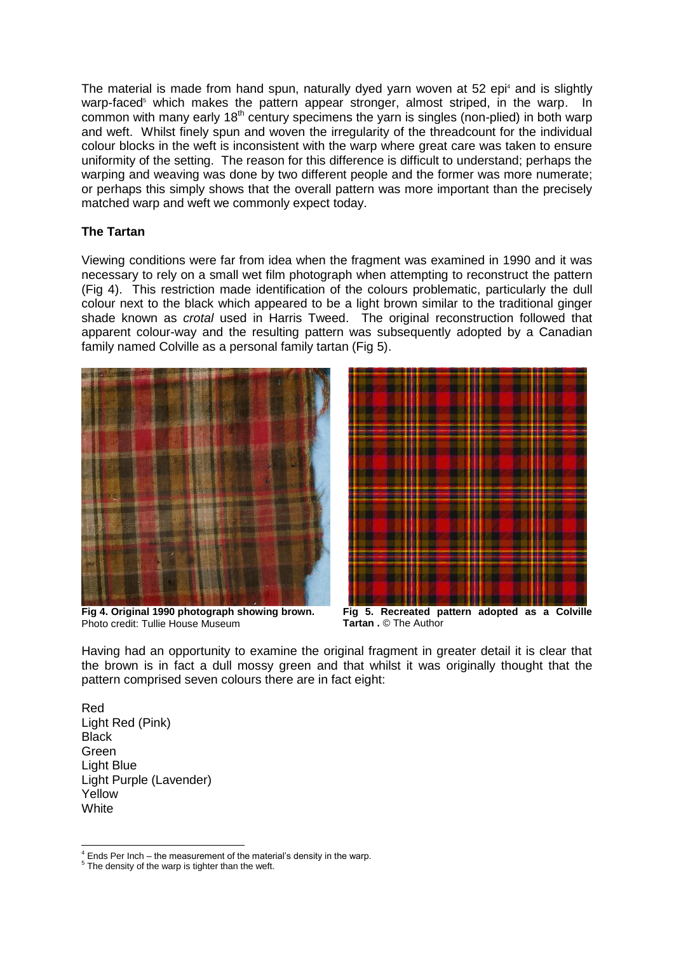The material is made from hand spun, naturally dyed yarn woven at 52 epi<sup>4</sup> and is slightly warp-faced<sup>5</sup> which makes the pattern appear stronger, almost striped, in the warp. In common with many early 18<sup>th</sup> century specimens the yarn is singles (non-plied) in both warp and weft. Whilst finely spun and woven the irregularity of the threadcount for the individual colour blocks in the weft is inconsistent with the warp where great care was taken to ensure uniformity of the setting. The reason for this difference is difficult to understand; perhaps the warping and weaving was done by two different people and the former was more numerate; or perhaps this simply shows that the overall pattern was more important than the precisely matched warp and weft we commonly expect today.

#### **The Tartan**

Viewing conditions were far from idea when the fragment was examined in 1990 and it was necessary to rely on a small wet film photograph when attempting to reconstruct the pattern (Fig 4). This restriction made identification of the colours problematic, particularly the dull colour next to the black which appeared to be a light brown similar to the traditional ginger shade known as *crotal* used in Harris Tweed. The original reconstruction followed that apparent colour-way and the resulting pattern was subsequently adopted by a Canadian family named Colville as a personal family tartan (Fig 5).



**Fig 4. Original 1990 photograph showing brown.** Photo credit: Tullie House Museum



**Fig 5. Recreated pattern adopted as a Colville Tartan .** © The Author

Having had an opportunity to examine the original fragment in greater detail it is clear that the brown is in fact a dull mossy green and that whilst it was originally thought that the pattern comprised seven colours there are in fact eight:

Red Light Red (Pink) **Black** Green Light Blue Light Purple (Lavender) Yellow **White** 

<sup>-</sup> $4$  Ends Per Inch – the measurement of the material's density in the warp.

 $5$  The density of the warp is tighter than the weft.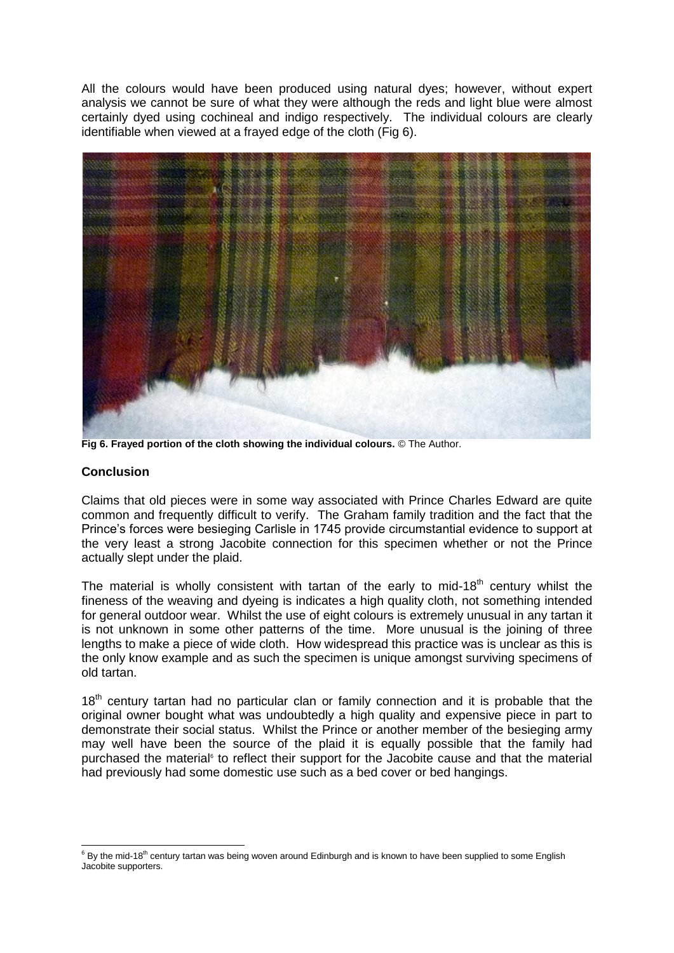All the colours would have been produced using natural dyes; however, without expert analysis we cannot be sure of what they were although the reds and light blue were almost certainly dyed using cochineal and indigo respectively. The individual colours are clearly identifiable when viewed at a frayed edge of the cloth (Fig 6).



**Fig 6. Frayed portion of the cloth showing the individual colours.** © The Author.

### **Conclusion**

Claims that old pieces were in some way associated with Prince Charles Edward are quite common and frequently difficult to verify. The Graham family tradition and the fact that the Prince's forces were besieging Carlisle in 1745 provide circumstantial evidence to support at the very least a strong Jacobite connection for this specimen whether or not the Prince actually slept under the plaid.

The material is wholly consistent with tartan of the early to mid-18<sup>th</sup> century whilst the fineness of the weaving and dyeing is indicates a high quality cloth, not something intended for general outdoor wear. Whilst the use of eight colours is extremely unusual in any tartan it is not unknown in some other patterns of the time. More unusual is the joining of three lengths to make a piece of wide cloth. How widespread this practice was is unclear as this is the only know example and as such the specimen is unique amongst surviving specimens of old tartan.

 $18<sup>th</sup>$  century tartan had no particular clan or family connection and it is probable that the original owner bought what was undoubtedly a high quality and expensive piece in part to demonstrate their social status. Whilst the Prince or another member of the besieging army may well have been the source of the plaid it is equally possible that the family had purchased the material<sup>®</sup> to reflect their support for the Jacobite cause and that the material had previously had some domestic use such as a bed cover or bed hangings.

<sup>-</sup> $^6$  By the mid-18<sup>th</sup> century tartan was being woven around Edinburgh and is known to have been supplied to some English Jacobite supporters.